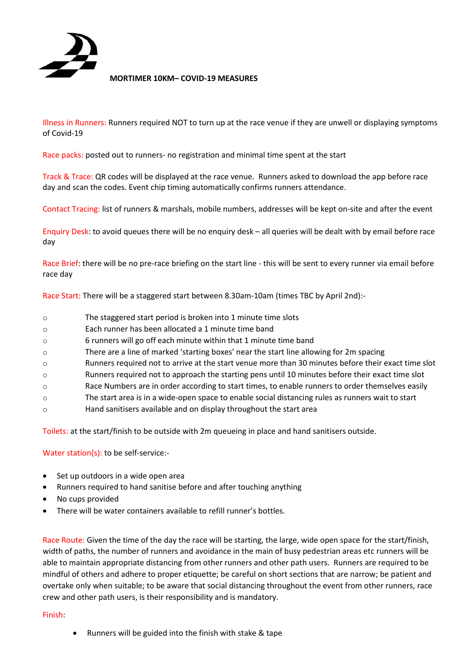

**MORTIMER 10KM– COVID-19 MEASURES**

Illness in Runners: Runners required NOT to turn up at the race venue if they are unwell or displaying symptoms of Covid-19

Race packs: posted out to runners- no registration and minimal time spent at the start

Track & Trace: QR codes will be displayed at the race venue. Runners asked to download the app before race day and scan the codes. Event chip timing automatically confirms runners attendance.

Contact Tracing: list of runners & marshals, mobile numbers, addresses will be kept on-site and after the event

Enquiry Desk: to avoid queues there will be no enquiry desk – all queries will be dealt with by email before race day

Race Brief: there will be no pre-race briefing on the start line - this will be sent to every runner via email before race day

Race Start: There will be a staggered start between 8.30am-10am (times TBC by April 2nd):-

- o The staggered start period is broken into 1 minute time slots
- o Each runner has been allocated a 1 minute time band
- o 6 runners will go off each minute within that 1 minute time band
- o There are a line of marked 'starting boxes' near the start line allowing for 2m spacing
- o Runners required not to arrive at the start venue more than 30 minutes before their exact time slot
- o Runners required not to approach the starting pens until 10 minutes before their exact time slot
- o Race Numbers are in order according to start times, to enable runners to order themselves easily
- o The start area is in a wide-open space to enable social distancing rules as runners wait to start
- o Hand sanitisers available and on display throughout the start area

Toilets: at the start/finish to be outside with 2m queueing in place and hand sanitisers outside.

Water station(s): to be self-service:-

- Set up outdoors in a wide open area
- Runners required to hand sanitise before and after touching anything
- No cups provided
- There will be water containers available to refill runner's bottles.

Race Route: Given the time of the day the race will be starting, the large, wide open space for the start/finish, width of paths, the number of runners and avoidance in the main of busy pedestrian areas etc runners will be able to maintain appropriate distancing from other runners and other path users. Runners are required to be mindful of others and adhere to proper etiquette; be careful on short sections that are narrow; be patient and overtake only when suitable; to be aware that social distancing throughout the event from other runners, race crew and other path users, is their responsibility and is mandatory.

## Finish:

• Runners will be guided into the finish with stake & tape